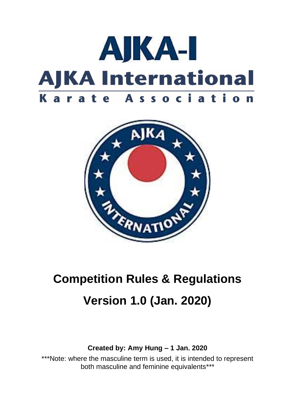



# **Competition Rules & Regulations Version 1.0 (Jan. 2020)**

## **Created by: Amy Hung – 1 Jan. 2020**

\*\*\*Note: where the masculine term is used, it is intended to represent both masculine and feminine equivalents\*\*\*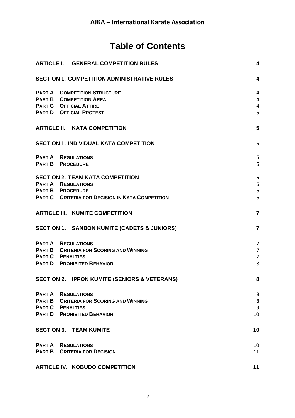## **Table of Contents**

| <b>ARTICLE I. GENERAL COMPETITION RULES</b>             | $\overline{\mathbf{4}}$ |
|---------------------------------------------------------|-------------------------|
| <b>SECTION 1. COMPETITION ADMINISTRATIVE RULES</b>      | 4                       |
| <b>PART A COMPETITION STRUCTURE</b>                     | $\overline{4}$          |
| <b>PART B COMPETITION AREA</b>                          | $\overline{4}$          |
| <b>PART C OFFICIAL ATTIRE</b>                           | 4                       |
| <b>PART D OFFICIAL PROTEST</b>                          | 5                       |
| <b>ARTICLE II. KATA COMPETITION</b>                     | 5                       |
| <b>SECTION 1. INDIVIDUAL KATA COMPETITION</b>           | 5                       |
| <b>PART A REGULATIONS</b>                               | 5                       |
| <b>PART B PROCEDURE</b>                                 | 5                       |
| <b>SECTION 2. TEAM KATA COMPETITION</b>                 | 5                       |
| <b>PART A REGULATIONS</b>                               | 5                       |
| <b>PART B PROCEDURE</b>                                 | 6                       |
| <b>PART C CRITERIA FOR DECISION IN KATA COMPETITION</b> | 6                       |
| <b>ARTICLE III. KUMITE COMPETITION</b>                  | $\overline{7}$          |
| SECTION 1. SANBON KUMITE (CADETS & JUNIORS)             | $\overline{7}$          |
| <b>PART A REGULATIONS</b>                               | 7                       |
| <b>PART B CRITERIA FOR SCORING AND WINNING</b>          | $\overline{7}$          |
| <b>PART C PENALTIES</b>                                 | $\overline{7}$          |
| <b>PART D</b> PROHIBITED BEHAVIOR                       | 8                       |
| SECTION 2. IPPON KUMITE (SENIORS & VETERANS)            | 8                       |
| <b>PART A REGULATIONS</b>                               | 8                       |
| <b>PART B CRITERIA FOR SCORING AND WINNING</b>          | 8                       |
| <b>PART C PENALTIES</b>                                 | 9                       |
| <b>PART D</b> PROHIBITED BEHAVIOR                       | 10                      |
| <b>SECTION 3. TEAM KUMITE</b>                           | 10                      |
| <b>PART A REGULATIONS</b>                               | 10                      |
| <b>PART B CRITERIA FOR DECISION</b>                     | 11                      |
| <b>ARTICLE IV. KOBUDO COMPETITION</b>                   | 11                      |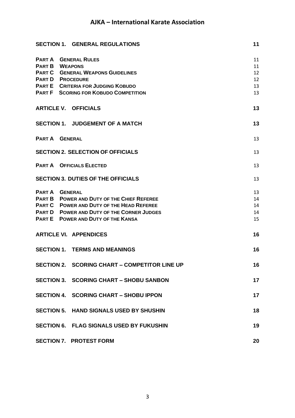| <b>SECTION 1. GENERAL REGULATIONS</b>                                                                                                                                                                                            | 11                               |
|----------------------------------------------------------------------------------------------------------------------------------------------------------------------------------------------------------------------------------|----------------------------------|
| <b>PART A GENERAL RULES</b><br><b>PART B WEAPONS</b><br><b>PART C GENERAL WEAPONS GUIDELINES</b><br><b>PART D PROCEDURE</b><br><b>PART E CRITERIA FOR JUDGING KOBUDO</b><br><b>PART F SCORING FOR KOBUDO COMPETITION</b>         | 11<br>11<br>12<br>12<br>13<br>13 |
| <b>ARTICLE V. OFFICIALS</b>                                                                                                                                                                                                      | 13                               |
| <b>SECTION 1. JUDGEMENT OF A MATCH</b>                                                                                                                                                                                           | 13                               |
| <b>PART A GENERAL</b>                                                                                                                                                                                                            | 13                               |
| <b>SECTION 2. SELECTION OF OFFICIALS</b>                                                                                                                                                                                         | 13                               |
| <b>PART A OFFICIALS ELECTED</b>                                                                                                                                                                                                  | 13                               |
| <b>SECTION 3. DUTIES OF THE OFFICIALS</b>                                                                                                                                                                                        | 13                               |
| <b>PART A GENERAL</b><br><b>PART B POWER AND DUTY OF THE CHIEF REFEREE</b><br><b>PART C POWER AND DUTY OF THE HEAD REFEREE</b><br><b>PART D POWER AND DUTY OF THE CORNER JUDGES</b><br><b>PART E</b> POWER AND DUTY OF THE KANSA | 13<br>14<br>14<br>14<br>15       |
| <b>ARTICLE VI. APPENDICES</b>                                                                                                                                                                                                    | 16                               |
| <b>SECTION 1. TERMS AND MEANINGS</b>                                                                                                                                                                                             | 16                               |
| SECTION 2. SCORING CHART – COMPETITOR LINE UP                                                                                                                                                                                    | 16                               |
| SECTION 3. SCORING CHART - SHOBU SANBON                                                                                                                                                                                          | 17                               |
| SECTION 4. SCORING CHART - SHOBU IPPON                                                                                                                                                                                           | 17                               |
| SECTION 5. HAND SIGNALS USED BY SHUSHIN                                                                                                                                                                                          | 18                               |
| SECTION 6. FLAG SIGNALS USED BY FUKUSHIN                                                                                                                                                                                         | 19                               |
| <b>SECTION 7. PROTEST FORM</b>                                                                                                                                                                                                   | 20                               |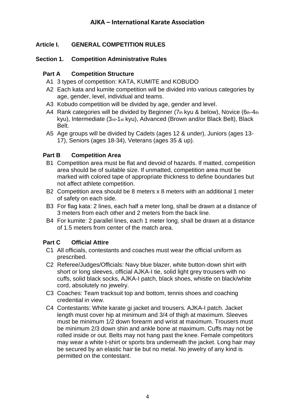## <span id="page-3-0"></span>**Article I. GENERAL COMPETITION RULES**

#### <span id="page-3-1"></span>**Section 1. Competition Administrative Rules**

#### <span id="page-3-2"></span>**Part A Competition Structure**

- A1 3 types of competition: KATA, KUMITE and KOBUDO
- A2 Each kata and kumite competition will be divided into various categories by age, gender, level, individual and teams.
- A3 Kobudo competition will be divided by age, gender and level.
- A4 Rank categories will be divided by Beginner (7th kyu & below), Novice (6th-4th kyu), Intermediate (3rd-1st kyu), Advanced (Brown and/or Black Belt), Black Belt.
- A5 Age groups will be divided by Cadets (ages 12 & under), Juniors (ages 13- 17), Seniors (ages 18-34), Veterans (ages 35 & up).

#### <span id="page-3-3"></span>**Part B Competition Area**

- B1 Competition area must be flat and devoid of hazards. If matted, competition area should be of suitable size. If unmatted, competition area must be marked with colored tape of appropriate thickness to define boundaries but not affect athlete competition.
- B2 Competition area should be 8 meters x 8 meters with an additional 1 meter of safety on each side.
- B3 For flag kata: 2 lines, each half a meter long, shall be drawn at a distance of 3 meters from each other and 2 meters from the back line.
- B4 For kumite: 2 parallel lines, each 1 meter long, shall be drawn at a distance of 1.5 meters from center of the match area.

#### <span id="page-3-4"></span>**Part C Official Attire**

- C1 All officials, contestants and coaches must wear the official uniform as prescribed.
- C2 Referee/Judges/Officials: Navy blue blazer, white button-down shirt with short or long sleeves, official AJKA-I tie, solid light grey trousers with no cuffs, solid black socks, AJKA-I patch, black shoes, whistle on black/white cord, absolutely no jewelry.
- C3 Coaches: Team tracksuit top and bottom, tennis shoes and coaching credential in view.
- C4 Contestants: White karate gi jacket and trousers. AJKA-I patch. Jacket length must cover hip at minimum and 3/4 of thigh at maximum. Sleeves must be minimum 1/2 down forearm and wrist at maximum. Trousers must be minimum 2/3 down shin and ankle bone at maximum. Cuffs may not be rolled inside or out. Belts may not hang past the knee. Female competitors may wear a white t-shirt or sports bra underneath the jacket. Long hair may be secured by an elastic hair tie but no metal. No jewelry of any kind is permitted on the contestant.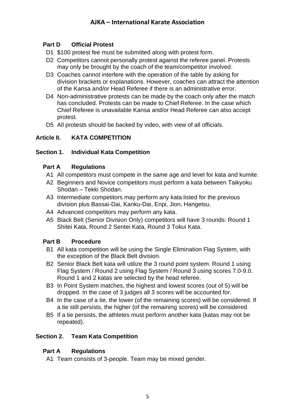#### <span id="page-4-0"></span>**Part D Official Protest**

- D1 \$100 protest fee must be submitted along with protest form.
- D2 Competitors cannot personally protest against the referee panel. Protests may only be brought by the coach of the team/competitor involved.
- D3 Coaches cannot interfere with the operation of the table by asking for division brackets or explanations. However, coaches can attract the attention of the Kansa and/or Head Referee if there is an administrative error.
- D4 Non-administrative protests can be made by the coach only after the match has concluded. Protests can be made to Chief Referee. In the case which Chief Referee is unavailable Kansa and/or Head Referee can also accept protest.
- D5 All protests should be backed by video, with view of all officials.

#### <span id="page-4-1"></span>**Article II. KATA COMPETITION**

#### <span id="page-4-2"></span>**Section 1. Individual Kata Competition**

#### <span id="page-4-3"></span>**Part A Regulations**

- A1 All competitors must compete in the same age and level for kata and kumite.
- A2 Beginners and Novice competitors must perform a kata between Taikyoku Shodan – Tekki Shodan.
- A3 Intermediate competitors may perform any kata listed for the previous division plus Bassai-Dai, Kanku-Dai, Enpi, Jion, Hangetsu.
- A4 Advanced competitors may perform any kata.
- A5 Black Belt (Senior Division Only) competitors will have 3 rounds: Round 1 Shitei Kata, Round 2 Sentei Kata, Round 3 Tokui Kata.

## <span id="page-4-4"></span>**Part B Procedure**

- B1 All kata competition will be using the Single Elimination Flag System, with the exception of the Black Belt division.
- B2 Senior Black Belt kata will utilize the 3 round point system. Round 1 using Flag System / Round 2 using Flag System / Round 3 using scores 7.0-9.0. Round 1 and 2 katas are selected by the head referee.
- B3 In Point System matches, the highest and lowest scores (out of 5) will be dropped. In the case of 3 judges all 3 scores will be accounted for.
- B4 In the case of a tie, the lower (of the remaining scores) will be considered. If a tie still persists, the higher (of the remaining scores) will be considered.
- B5 If a tie persists, the athletes must perform another kata (katas may not be repeated).

#### <span id="page-4-5"></span>**Section 2. Team Kata Competition**

#### <span id="page-4-6"></span>**Part A Regulations**

A1 Team consists of 3-people. Team may be mixed gender.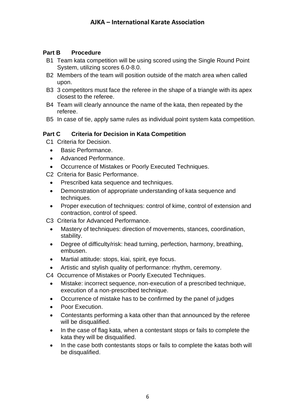#### <span id="page-5-0"></span>**Part B Procedure**

- B1 Team kata competition will be using scored using the Single Round Point System, utilizing scores 6.0-8.0.
- B2 Members of the team will position outside of the match area when called upon.
- B3 3 competitors must face the referee in the shape of a triangle with its apex closest to the referee.
- B4 Team will clearly announce the name of the kata, then repeated by the referee.
- B5 In case of tie, apply same rules as individual point system kata competition.

#### <span id="page-5-1"></span>**Part C Criteria for Decision in Kata Competition**

C1 Criteria for Decision.

- Basic Performance.
- Advanced Performance.
- Occurrence of Mistakes or Poorly Executed Techniques.

C2 Criteria for Basic Performance.

- Prescribed kata sequence and techniques.
- Demonstration of appropriate understanding of kata sequence and techniques.
- Proper execution of techniques: control of kime, control of extension and contraction, control of speed.
- C3 Criteria for Advanced Performance.
	- Mastery of techniques: direction of movements, stances, coordination, stability.
	- Degree of difficulty/risk: head turning, perfection, harmony, breathing, embusen.
	- Martial attitude: stops, kiai, spirit, eye focus.
	- Artistic and stylish quality of performance: rhythm, ceremony.
- C4 Occurrence of Mistakes or Poorly Executed Techniques.
	- Mistake: incorrect sequence, non-execution of a prescribed technique, execution of a non-prescribed technique.
	- Occurrence of mistake has to be confirmed by the panel of judges
	- Poor Execution.
	- Contestants performing a kata other than that announced by the referee will be disqualified.
	- In the case of flag kata, when a contestant stops or fails to complete the kata they will be disqualified.
	- In the case both contestants stops or fails to complete the katas both will be disqualified.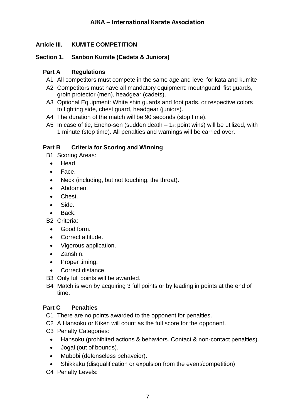#### <span id="page-6-0"></span>**Article III. KUMITE COMPETITION**

#### <span id="page-6-1"></span>**Section 1. Sanbon Kumite (Cadets & Juniors)**

#### <span id="page-6-2"></span>**Part A Regulations**

- A1 All competitors must compete in the same age and level for kata and kumite.
- A2 Competitors must have all mandatory equipment: mouthguard, fist guards, groin protector (men), headgear (cadets).
- A3 Optional Equipment: White shin guards and foot pads, or respective colors to fighting side, chest guard, headgear (juniors).
- A4 The duration of the match will be 90 seconds (stop time).
- A5 In case of tie, Encho-sen (sudden death  $-1$ <sub>st</sub> point wins) will be utilized, with 1 minute (stop time). All penalties and warnings will be carried over.

#### <span id="page-6-3"></span>**Part B Criteria for Scoring and Winning**

- B1 Scoring Areas:
	- Head.
	- Face.
	- Neck (including, but not touching, the throat).
	- Abdomen.
	- Chest.
	- Side.
	- Back.

B2 Criteria:

- Good form.
- Correct attitude.
- Vigorous application.
- Zanshin.
- Proper timing.
- Correct distance.
- B3 Only full points will be awarded.
- B4 Match is won by acquiring 3 full points or by leading in points at the end of time.

#### <span id="page-6-4"></span>**Part C Penalties**

- C1 There are no points awarded to the opponent for penalties.
- C2 A Hansoku or Kiken will count as the full score for the opponent.
- C3 Penalty Categories:
	- Hansoku (prohibited actions & behaviors. Contact & non-contact penalties).
	- Jogai (out of bounds).
	- Mubobi (defenseless behaveior).
	- Shikkaku (disqualification or expulsion from the event/competition).
- C4 Penalty Levels: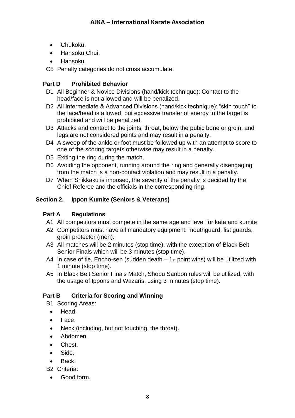- Chukoku.
- Hansoku Chui.
- Hansoku.
- C5 Penalty categories do not cross accumulate.

## <span id="page-7-0"></span>**Part D Prohibited Behavior**

- D1 All Beginner & Novice Divisions (hand/kick technique): Contact to the head/face is not allowed and will be penalized.
- D2 All Intermediate & Advanced Divisions (hand/kick technique): "skin touch" to the face/head is allowed, but excessive transfer of energy to the target is prohibited and will be penalized.
- D3 Attacks and contact to the joints, throat, below the pubic bone or groin, and legs are not considered points and may result in a penalty.
- D4 A sweep of the ankle or foot must be followed up with an attempt to score to one of the scoring targets otherwise may result in a penalty.
- D5 Exiting the ring during the match.
- D6 Avoiding the opponent, running around the ring and generally disengaging from the match is a non-contact violation and may result in a penalty.
- D7 When Shikkaku is imposed, the severity of the penalty is decided by the Chief Referee and the officials in the corresponding ring.

## <span id="page-7-1"></span>**Section 2. Ippon Kumite (Seniors & Veterans)**

## <span id="page-7-2"></span>**Part A Regulations**

- A1 All competitors must compete in the same age and level for kata and kumite.
- A2 Competitors must have all mandatory equipment: mouthguard, fist guards, groin protector (men).
- A3 All matches will be 2 minutes (stop time), with the exception of Black Belt Senior Finals which will be 3 minutes (stop time).
- A4 In case of tie, Encho-sen (sudden death  $-1$ <sub>st</sub> point wins) will be utilized with 1 minute (stop time).
- A5 In Black Belt Senior Finals Match, Shobu Sanbon rules will be utilized, with the usage of Ippons and Wazaris, using 3 minutes (stop time).

## <span id="page-7-3"></span>**Part B Criteria for Scoring and Winning**

B1 Scoring Areas:

- Head.
- Face.
- Neck (including, but not touching, the throat).
- Abdomen.
- Chest.
- Side.
- Back.
- B2 Criteria:
	- Good form.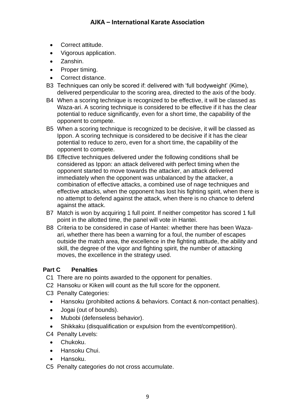- Correct attitude.
- Vigorous application.
- Zanshin.
- Proper timing.
- Correct distance.
- B3 Techniques can only be scored if: delivered with 'full bodyweight' (Kime), delivered perpendicular to the scoring area, directed to the axis of the body.
- B4 When a scoring technique is recognized to be effective, it will be classed as Waza-ari. A scoring technique is considered to be effective if it has the clear potential to reduce significantly, even for a short time, the capability of the opponent to compete.
- B5 When a scoring technique is recognized to be decisive, it will be classed as Ippon. A scoring technique is considered to be decisive if it has the clear potential to reduce to zero, even for a short time, the capability of the opponent to compete.
- B6 Effective techniques delivered under the following conditions shall be considered as Ippon: an attack delivered with perfect timing when the opponent started to move towards the attacker, an attack delivered immediately when the opponent was unbalanced by the attacker, a combination of effective attacks, a combined use of nage techniques and effective attacks, when the opponent has lost his fighting spirit, when there is no attempt to defend against the attack, when there is no chance to defend against the attack.
- B7 Match is won by acquiring 1 full point. If neither competitor has scored 1 full point in the allotted time, the panel will vote in Hantei.
- B8 Criteria to be considered in case of Hantei: whether there has been Wazaari, whether there has been a warning for a foul, the number of escapes outside the match area, the excellence in the fighting attitude, the ability and skill, the degree of the vigor and fighting spirit, the number of attacking moves, the excellence in the strategy used.

#### <span id="page-8-0"></span>**Part C Penalties**

- C1 There are no points awarded to the opponent for penalties.
- C2 Hansoku or Kiken will count as the full score for the opponent.
- C3 Penalty Categories:
	- Hansoku (prohibited actions & behaviors. Contact & non-contact penalties).
	- Jogai (out of bounds).
	- Mubobi (defenseless behavior).
	- Shikkaku (disqualification or expulsion from the event/competition).

C4 Penalty Levels:

- Chukoku.
- Hansoku Chui.
- Hansoku.
- C5 Penalty categories do not cross accumulate.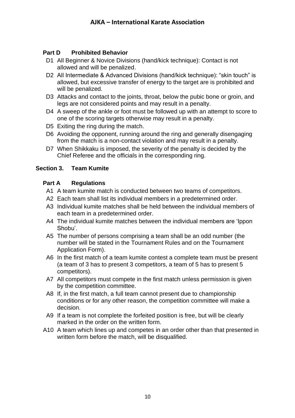#### <span id="page-9-0"></span>**Part D Prohibited Behavior**

- D1 All Beginner & Novice Divisions (hand/kick technique): Contact is not allowed and will be penalized.
- D2 All Intermediate & Advanced Divisions (hand/kick technique): "skin touch" is allowed, but excessive transfer of energy to the target are is prohibited and will be penalized.
- D3 Attacks and contact to the joints, throat, below the pubic bone or groin, and legs are not considered points and may result in a penalty.
- D4 A sweep of the ankle or foot must be followed up with an attempt to score to one of the scoring targets otherwise may result in a penalty.
- D5 Exiting the ring during the match.
- D6 Avoiding the opponent, running around the ring and generally disengaging from the match is a non-contact violation and may result in a penalty.
- D7 When Shikkaku is imposed, the severity of the penalty is decided by the Chief Referee and the officials in the corresponding ring.

#### <span id="page-9-1"></span>**Section 3. Team Kumite**

#### <span id="page-9-2"></span>**Part A Regulations**

- A1 A team kumite match is conducted between two teams of competitors.
- A2 Each team shall list its individual members in a predetermined order.
- A3 Individual kumite matches shall be held between the individual members of each team in a predetermined order.
- A4 The individual kumite matches between the individual members are 'Ippon Shobu'.
- A5 The number of persons comprising a team shall be an odd number (the number will be stated in the Tournament Rules and on the Tournament Application Form).
- A6 In the first match of a team kumite contest a complete team must be present (a team of 3 has to present 3 competitors, a team of 5 has to present 5 competitors).
- A7 All competitors must compete in the first match unless permission is given by the competition committee.
- A8 If, in the first match, a full team cannot present due to championship conditions or for any other reason, the competition committee will make a decision.
- A9 If a team is not complete the forfeited position is free, but will be clearly marked in the order on the written form.
- A10 A team which lines up and competes in an order other than that presented in written form before the match, will be disqualified.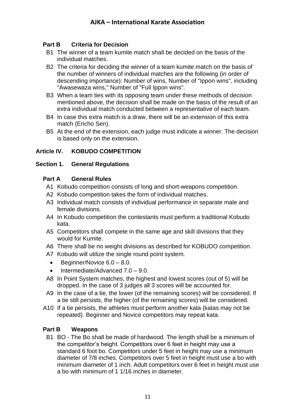#### <span id="page-10-0"></span>**Part B Criteria for Decision**

- B1 The winner of a team kumite match shall be decided on the basis of the individual matches.
- B2 The criteria for deciding the winner of a team kumite match on the basis of the number of winners of individual matches are the following (in order of descending importance): Number of wins, Number of "Ippon wins", including "Awasewaza wins," Number of "Full Ippon wins".
- B3 When a team ties with its opposing team under these methods of decision mentioned above, the decision shall be made on the basis of the result of an extra individual match conducted between a representative of each team.
- B4 In case this extra match is a draw, there will be an extension of this extra match (Encho Sen).
- B5 At the end of the extension, each judge must indicate a winner. The decision is based only on the extension.

#### <span id="page-10-1"></span>**Article IV. KOBUDO COMPETITION**

#### <span id="page-10-2"></span>**Section 1. General Regulations**

#### <span id="page-10-3"></span>**Part A General Rules**

- A1 Kobudo competition consists of long and short-weapons competition.
- A2 Kobudo competition takes the form of individual matches.
- A3 Individual match consists of individual performance in separate male and female divisions.
- A4 In Kobudo competition the contestants must perform a traditional Kobudo kata.
- A5 Competitors shall compete in the same age and skill divisions that they would for Kumite.
- A6 There shall be no weight divisions as described for KOBUDO competition.
- A7 Kobudo will utilize the single round point system.
	- Beginner/Novice  $6.0 8.0$ .
- Intermediate/Advanced 7.0 9.0.
- A8 In Point System matches, the highest and lowest scores (out of 5) will be dropped. In the case of 3 judges all 3 scores will be accounted for.
- A9 In the case of a tie, the lower (of the remaining scores) will be considered. If a tie still persists, the higher (of the remaining scores) will be considered.
- A10 If a tie persists, the athletes must perform another kata (katas may not be repeated). Beginner and Novice competitors may repeat kata.

#### <span id="page-10-4"></span>**Part B Weapons**

B1 BO - The Bo shall be made of hardwood. The length shall be a minimum of the competitor's height. Competitors over 6 feet in height may use a standard 6 foot bo. Competitors under 5 feet in height may use a minimum diameter of 7/8 inches. Competitors over 5 feet in height must use a bo with minimum diameter of 1 inch. Adult competitors over 6 feet in height must use a bo with minimum of 1 1/16 inches in diameter.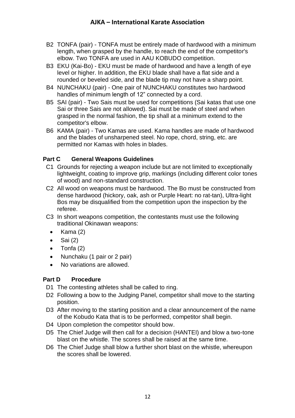- B2 TONFA (pair) TONFA must be entirely made of hardwood with a minimum length, when grasped by the handle, to reach the end of the competitor's elbow. Two TONFA are used in AAU KOBUDO competition.
- B3 EKU (Kai-Bo) EKU must be made of hardwood and have a length of eye level or higher. In addition, the EKU blade shall have a flat side and a rounded or beveled side, and the blade tip may not have a sharp point.
- B4 NUNCHAKU (pair) One pair of NUNCHAKU constitutes two hardwood handles of minimum length of 12" connected by a cord.
- B5 SAI (pair) Two Sais must be used for competitions (Sai katas that use one Sai or three Sais are not allowed). Sai must be made of steel and when grasped in the normal fashion, the tip shall at a minimum extend to the competitor's elbow.
- B6 KAMA (pair) Two Kamas are used. Kama handles are made of hardwood and the blades of unsharpened steel. No rope, chord, string, etc. are permitted nor Kamas with holes in blades.

#### <span id="page-11-0"></span>**Part C General Weapons Guidelines**

- C1 Grounds for rejecting a weapon include but are not limited to exceptionally lightweight, coating to improve grip, markings (including different color tones of wood) and non-standard construction.
- C2 All wood on weapons must be hardwood. The Bo must be constructed from dense hardwood (hickory, oak, ash or Purple Heart: no rat-tan), Ultra-light Bos may be disqualified from the competition upon the inspection by the referee.
- C3 In short weapons competition, the contestants must use the following traditional Okinawan weapons:
	- $\bullet$  Kama (2)
	- $\bullet$  Sai (2)
	- Tonfa (2)
	- Nunchaku (1 pair or 2 pair)
	- No variations are allowed.

#### <span id="page-11-1"></span>**Part D Procedure**

- D1 The contesting athletes shall be called to ring.
- D2 Following a bow to the Judging Panel, competitor shall move to the starting position.
- D3 After moving to the starting position and a clear announcement of the name of the Kobudo Kata that is to be performed, competitor shall begin.
- D4 Upon completion the competitor should bow.
- D5 The Chief Judge will then call for a decision (HANTEI) and blow a two-tone blast on the whistle. The scores shall be raised at the same time.
- D6 The Chief Judge shall blow a further short blast on the whistle, whereupon the scores shall be lowered.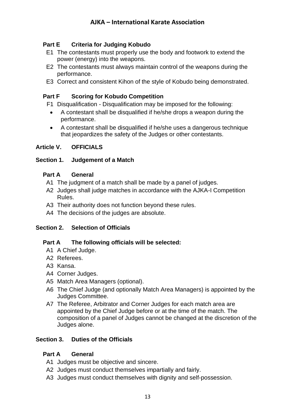#### <span id="page-12-0"></span>**Part E Criteria for Judging Kobudo**

- E1 The contestants must properly use the body and footwork to extend the power (energy) into the weapons.
- E2 The contestants must always maintain control of the weapons during the performance.
- E3 Correct and consistent Kihon of the style of Kobudo being demonstrated.

#### <span id="page-12-1"></span>**Part F Scoring for Kobudo Competition**

F1 Disqualification - Disqualification may be imposed for the following:

- A contestant shall be disqualified if he/she drops a weapon during the performance.
- A contestant shall be disqualified if he/she uses a dangerous technique that jeopardizes the safety of the Judges or other contestants.

#### <span id="page-12-2"></span>**Article V. OFFICIALS**

#### <span id="page-12-3"></span>**Section 1. Judgement of a Match**

#### <span id="page-12-4"></span>**Part A General**

- A1 The judgment of a match shall be made by a panel of judges.
- A2 Judges shall judge matches in accordance with the AJKA-I Competition Rules.
- A3 Their authority does not function beyond these rules.
- A4 The decisions of the judges are absolute.

#### <span id="page-12-5"></span>**Section 2. Selection of Officials**

#### <span id="page-12-6"></span>**Part A The following officials will be selected:**

- A1 A Chief Judge.
- A2 Referees.
- A3 Kansa.
- A4 Corner Judges.
- A5 Match Area Managers (optional).
- A6 The Chief Judge (and optionally Match Area Managers) is appointed by the Judges Committee.
- A7 The Referee, Arbitrator and Corner Judges for each match area are appointed by the Chief Judge before or at the time of the match. The composition of a panel of Judges cannot be changed at the discretion of the Judges alone.

#### <span id="page-12-7"></span>**Section 3. Duties of the Officials**

#### <span id="page-12-8"></span>**Part A General**

- A1 Judges must be objective and sincere.
- A2 Judges must conduct themselves impartially and fairly.
- A3 Judges must conduct themselves with dignity and self-possession.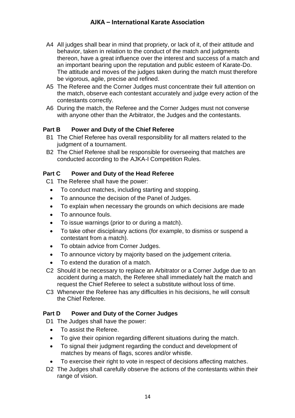- A4 All judges shall bear in mind that propriety, or lack of it, of their attitude and behavior, taken in relation to the conduct of the match and judgments thereon, have a great influence over the interest and success of a match and an important bearing upon the reputation and public esteem of Karate-Do. The attitude and moves of the judges taken during the match must therefore be vigorous, agile, precise and refined.
- A5 The Referee and the Corner Judges must concentrate their full attention on the match, observe each contestant accurately and judge every action of the contestants correctly.
- A6 During the match, the Referee and the Corner Judges must not converse with anyone other than the Arbitrator, the Judges and the contestants.

#### <span id="page-13-0"></span>**Part B Power and Duty of the Chief Referee**

- B1 The Chief Referee has overall responsibility for all matters related to the judgment of a tournament.
- B2 The Chief Referee shall be responsible for overseeing that matches are conducted according to the AJKA-I Competition Rules.

#### <span id="page-13-1"></span>**Part C Power and Duty of the Head Referee**

- C1 The Referee shall have the power:
	- To conduct matches, including starting and stopping.
	- To announce the decision of the Panel of Judges.
	- To explain when necessary the grounds on which decisions are made
	- To announce fouls.
	- To issue warnings (prior to or during a match).
	- To take other disciplinary actions (for example, to dismiss or suspend a contestant from a match).
	- To obtain advice from Corner Judges.
	- To announce victory by majority based on the judgement criteria.
	- To extend the duration of a match.
- C2 Should it be necessary to replace an Arbitrator or a Corner Judge due to an accident during a match, the Referee shall immediately halt the match and request the Chief Referee to select a substitute without loss of time.
- C3 Whenever the Referee has any difficulties in his decisions, he will consult the Chief Referee.

#### <span id="page-13-2"></span>**Part D Power and Duty of the Corner Judges**

D1 The Judges shall have the power:

- To assist the Referee.
- To give their opinion regarding different situations during the match.
- To signal their judgment regarding the conduct and development of matches by means of flags, scores and/or whistle.
- To exercise their right to vote in respect of decisions affecting matches.
- D2 The Judges shall carefully observe the actions of the contestants within their range of vision.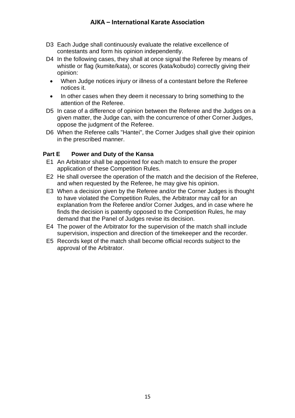- D3 Each Judge shall continuously evaluate the relative excellence of contestants and form his opinion independently.
- D4 In the following cases, they shall at once signal the Referee by means of whistle or flag (kumite/kata), or scores (kata/kobudo) correctly giving their opinion:
	- When Judge notices injury or illness of a contestant before the Referee notices it.
	- In other cases when they deem it necessary to bring something to the attention of the Referee.
- D5 In case of a difference of opinion between the Referee and the Judges on a given matter, the Judge can, with the concurrence of other Corner Judges, oppose the judgment of the Referee.
- D6 When the Referee calls "Hantei", the Corner Judges shall give their opinion in the prescribed manner.

#### <span id="page-14-0"></span>**Part E Power and Duty of the Kansa**

- E1 An Arbitrator shall be appointed for each match to ensure the proper application of these Competition Rules.
- E2 He shall oversee the operation of the match and the decision of the Referee, and when requested by the Referee, he may give his opinion.
- E3 When a decision given by the Referee and/or the Corner Judges is thought to have violated the Competition Rules, the Arbitrator may call for an explanation from the Referee and/or Corner Judges, and in case where he finds the decision is patently opposed to the Competition Rules, he may demand that the Panel of Judges revise its decision.
- E4 The power of the Arbitrator for the supervision of the match shall include supervision, inspection and direction of the timekeeper and the recorder.
- E5 Records kept of the match shall become official records subject to the approval of the Arbitrator.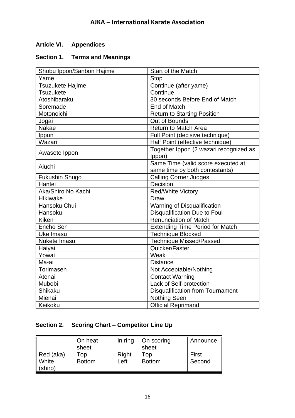## <span id="page-15-0"></span>**Article VI. Appendices**

#### <span id="page-15-1"></span>**Section 1. Terms and Meanings**

| Shobu Ippon/Sanbon Hajime | Start of the Match                      |  |  |
|---------------------------|-----------------------------------------|--|--|
| Yame                      | <b>Stop</b>                             |  |  |
| Tsuzukete Hajime          | Continue (after yame)                   |  |  |
| <b>Tsuzukete</b>          | Continue                                |  |  |
| Atoshibaraku              | 30 seconds Before End of Match          |  |  |
| Soremade                  | <b>End of Match</b>                     |  |  |
| Motonoichi                | <b>Return to Starting Position</b>      |  |  |
| Jogai                     | Out of Bounds                           |  |  |
| Nakae                     | <b>Return to Match Area</b>             |  |  |
| Ippon                     | Full Point (decisive technique)         |  |  |
| Wazari                    | Half Point (effective technique)        |  |  |
| Awasete Ippon             | Together Ippon (2 wazari recognized as  |  |  |
|                           | Ippon)                                  |  |  |
| Aiuchi                    | Same Time (valid score executed at      |  |  |
|                           | same time by both contestants)          |  |  |
| Fukushin Shugo            | <b>Calling Corner Judges</b>            |  |  |
| Hantei                    | Decision                                |  |  |
| Aka/Shiro No Kachi        | <b>Red/White Victory</b>                |  |  |
| <b>Hlkiwake</b>           | Draw                                    |  |  |
| Hansoku Chui              | Warning of Disqualification             |  |  |
| Hansoku                   | <b>Disqualification Due to Foul</b>     |  |  |
| Kiken                     | <b>Renunciation of Match</b>            |  |  |
| Encho Sen                 | <b>Extending Time Period for Match</b>  |  |  |
| Uke Imasu                 | <b>Technique Blocked</b>                |  |  |
| <b>Nukete Imasu</b>       | <b>Technique Missed/Passed</b>          |  |  |
| Haiyai                    | Quicker/Faster                          |  |  |
| Yowai                     | Weak                                    |  |  |
| Ma-ai<br><b>Distance</b>  |                                         |  |  |
| Torimasen                 | Not Acceptable/Nothing                  |  |  |
| Atenai                    | <b>Contact Warning</b>                  |  |  |
| Mubobi                    | Lack of Self-protection                 |  |  |
| Shikaku                   | <b>Disqualification from Tournament</b> |  |  |
| Mienai                    | <b>Nothing Seen</b>                     |  |  |
| Keikoku                   | Official Reprimand                      |  |  |

## <span id="page-15-2"></span>**Section 2. Scoring Chart – Competitor Line Up**

|           | On heat       | In ring | On scoring    | Announce |
|-----------|---------------|---------|---------------|----------|
|           | sheet         |         | sheet         |          |
| Red (aka) | Top           | Right   | Top           | First    |
| White     | <b>Bottom</b> | Left    | <b>Bottom</b> | Second   |
| (shiro)   |               |         |               |          |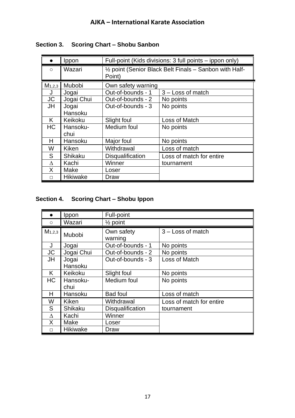|             | Ippon            | Full-point (Kids divisions: 3 full points – ippon only)           |                          |  |
|-------------|------------------|-------------------------------------------------------------------|--------------------------|--|
| $\bigcirc$  | Wazari           | 1/2 point (Senior Black Belt Finals - Sanbon with Half-<br>Point) |                          |  |
| $M_{1,2,3}$ | Mubobi           | Own safety warning                                                |                          |  |
| J           | Jogai            | Out-of-bounds - 1                                                 | $3 - Loss$ of match      |  |
| <b>JC</b>   | Jogai Chui       | Out-of-bounds - 2                                                 | No points                |  |
| JH          | Jogai<br>Hansoku | Out-of-bounds - 3                                                 | No points                |  |
| K.          | Keikoku          | Slight foul                                                       | Loss of Match            |  |
| HC.         | Hansoku-<br>chui | Medium foul                                                       | No points                |  |
| н           | Hansoku          | Major foul                                                        | No points                |  |
| W           | Kiken            | Withdrawal                                                        | Loss of match            |  |
| S           | <b>Shikaku</b>   | <b>Disqualification</b>                                           | Loss of match for entire |  |
| $\Lambda$   | Kachi            | Winner                                                            | tournament               |  |
| X.          | Make             | Loser                                                             |                          |  |
| П           | Hikiwake         | Draw                                                              |                          |  |

## <span id="page-16-0"></span>**Section 3. Scoring Chart – Shobu Sanbon**

## <span id="page-16-1"></span>**Section 4. Scoring Chart – Shobu Ippon**

|             | Ippon            | Full-point            |                          |
|-------------|------------------|-----------------------|--------------------------|
| $\circ$     | Wazari           | $\frac{1}{2}$ point   |                          |
| $M_{1,2,3}$ | Mubobi           | Own safety<br>warning | $3 - Loss$ of match      |
| J           | Jogai            | Out-of-bounds - 1     | No points                |
| JC          | Jogai Chui       | Out-of-bounds - 2     | No points                |
| JH          | Jogai<br>Hansoku | Out-of-bounds - 3     | Loss of Match            |
| K.          | Keikoku          | Slight foul           | No points                |
| HC          | Hansoku-<br>chui | Medium foul           | No points                |
| н           | Hansoku          | <b>Bad foul</b>       | Loss of match            |
| W           | Kiken            | Withdrawal            | Loss of match for entire |
| S           | Shikaku          | Disqualification      | tournament               |
| $\Lambda$   | Kachi            | Winner                |                          |
| X.          | Make             | Loser                 |                          |
| П           | <b>Hikiwake</b>  | Draw                  |                          |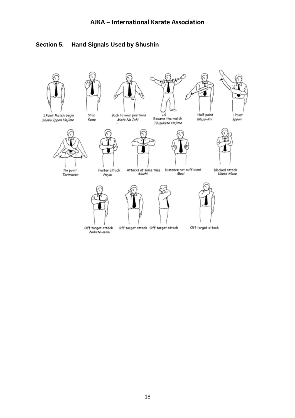

## <span id="page-17-0"></span>**Section 5. Hand Signals Used by Shushin**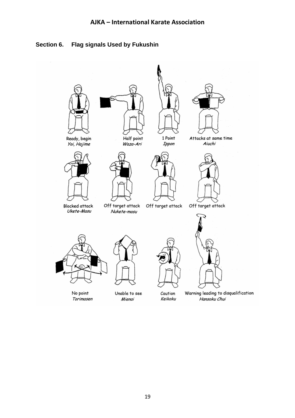## <span id="page-18-0"></span>**Section 6. Flag signals Used by Fukushin**